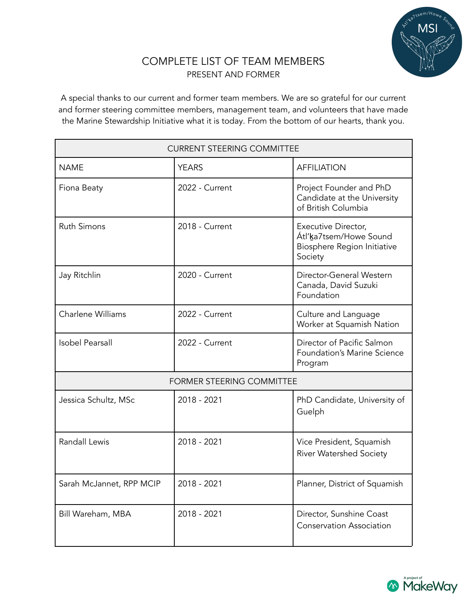

## COMPLETE LIST OF TEAM MEMBERS PRESENT AND FORMER

A special thanks to our current and former team members. We are so grateful for our current and former steering committee members, management team, and volunteers that have made the Marine Stewardship Initiative what it is today. From the bottom of our hearts, thank you.

| <b>CURRENT STEERING COMMITTEE</b> |                |                                                                                         |
|-----------------------------------|----------------|-----------------------------------------------------------------------------------------|
| <b>NAME</b>                       | <b>YEARS</b>   | <b>AFFILIATION</b>                                                                      |
| Fiona Beaty                       | 2022 - Current | Project Founder and PhD<br>Candidate at the University<br>of British Columbia           |
| <b>Ruth Simons</b>                | 2018 - Current | Executive Director,<br>Átl'ka7tsem/Howe Sound<br>Biosphere Region Initiative<br>Society |
| Jay Ritchlin                      | 2020 - Current | Director-General Western<br>Canada, David Suzuki<br>Foundation                          |
| Charlene Williams                 | 2022 - Current | Culture and Language<br>Worker at Squamish Nation                                       |
| <b>Isobel Pearsall</b>            | 2022 - Current | Director of Pacific Salmon<br>Foundation's Marine Science<br>Program                    |
| FORMER STEERING COMMITTEE         |                |                                                                                         |
| Jessica Schultz, MSc              | 2018 - 2021    | PhD Candidate, University of<br>Guelph                                                  |
| <b>Randall Lewis</b>              | 2018 - 2021    | Vice President, Squamish<br><b>River Watershed Society</b>                              |
| Sarah McJannet, RPP MCIP          | 2018 - 2021    | Planner, District of Squamish                                                           |
| Bill Wareham, MBA                 | 2018 - 2021    | Director, Sunshine Coast<br><b>Conservation Association</b>                             |

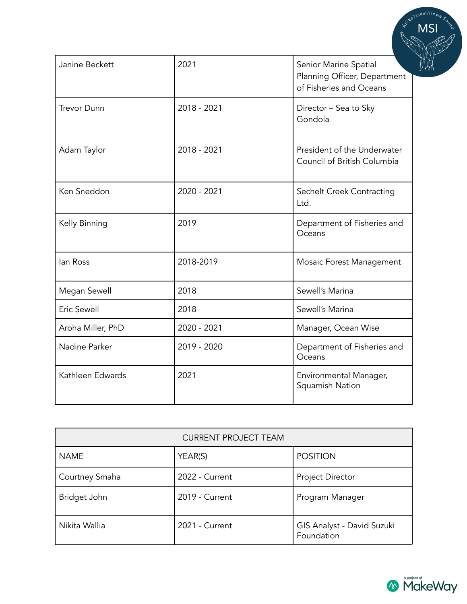| Janine Beckett     | 2021        | Senior Marine Spatial<br>Planning Officer, Department<br>of Fisheries and Oceans |
|--------------------|-------------|----------------------------------------------------------------------------------|
| <b>Trevor Dunn</b> | 2018 - 2021 | Director - Sea to Sky<br>Gondola                                                 |
| Adam Taylor        | 2018 - 2021 | President of the Underwater<br>Council of British Columbia                       |
| Ken Sneddon        | 2020 - 2021 | Sechelt Creek Contracting<br>Ltd.                                                |
| Kelly Binning      | 2019        | Department of Fisheries and<br>Oceans                                            |
| lan Ross           | 2018-2019   | Mosaic Forest Management                                                         |
| Megan Sewell       | 2018        | Sewell's Marina                                                                  |
| Eric Sewell        | 2018        | Sewell's Marina                                                                  |
| Aroha Miller, PhD  | 2020 - 2021 | Manager, Ocean Wise                                                              |
| Nadine Parker      | 2019 - 2020 | Department of Fisheries and<br>Oceans                                            |
| Kathleen Edwards   | 2021        | Environmental Manager,<br>Squamish Nation                                        |

| <b>CURRENT PROJECT TEAM</b> |                |                                          |
|-----------------------------|----------------|------------------------------------------|
| <b>NAME</b>                 | YEAR(S)        | <b>POSITION</b>                          |
| Courtney Smaha              | 2022 - Current | Project Director                         |
| Bridget John                | 2019 - Current | Program Manager                          |
| Nikita Wallia               | 2021 - Current | GIS Analyst - David Suzuki<br>Foundation |



 $m/H_{O_H}$ .1tse **HILL**ING

**MSI**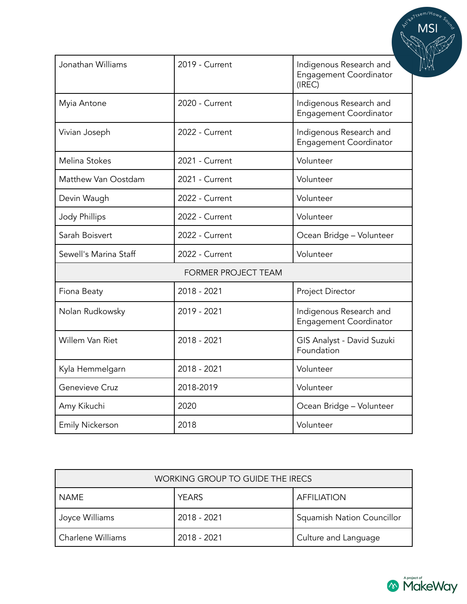| Jonathan Williams          | 2019 - Current | Indigenous Research and<br><b>Engagement Coordinator</b><br>(IREC) |
|----------------------------|----------------|--------------------------------------------------------------------|
| Myia Antone                | 2020 - Current | Indigenous Research and<br>Engagement Coordinator                  |
| Vivian Joseph              | 2022 - Current | Indigenous Research and<br><b>Engagement Coordinator</b>           |
| Melina Stokes              | 2021 - Current | Volunteer                                                          |
| Matthew Van Oostdam        | 2021 - Current | Volunteer                                                          |
| Devin Waugh                | 2022 - Current | Volunteer                                                          |
| <b>Jody Phillips</b>       | 2022 - Current | Volunteer                                                          |
| Sarah Boisvert             | 2022 - Current | Ocean Bridge - Volunteer                                           |
| Sewell's Marina Staff      | 2022 - Current | Volunteer                                                          |
| <b>FORMER PROJECT TEAM</b> |                |                                                                    |
| Fiona Beaty                | 2018 - 2021    | Project Director                                                   |
| Nolan Rudkowsky            | 2019 - 2021    | Indigenous Research and<br><b>Engagement Coordinator</b>           |
| Willem Van Riet            | 2018 - 2021    | GIS Analyst - David Suzuki<br>Foundation                           |
| Kyla Hemmelgarn            | 2018 - 2021    | Volunteer                                                          |
| Genevieve Cruz             | 2018-2019      | Volunteer                                                          |
| Amy Kikuchi                | 2020           | Ocean Bridge - Volunteer                                           |
| <b>Emily Nickerson</b>     | 2018           | Volunteer                                                          |

| WORKING GROUP TO GUIDE THE IRECS |              |                            |
|----------------------------------|--------------|----------------------------|
| NAME                             | <b>YEARS</b> | <b>AFFILIATION</b>         |
| Joyce Williams                   | 2018 - 2021  | Squamish Nation Councillor |
| Charlene Williams                | 2018 - 2021  | Culture and Language       |



Waltsem/How MSI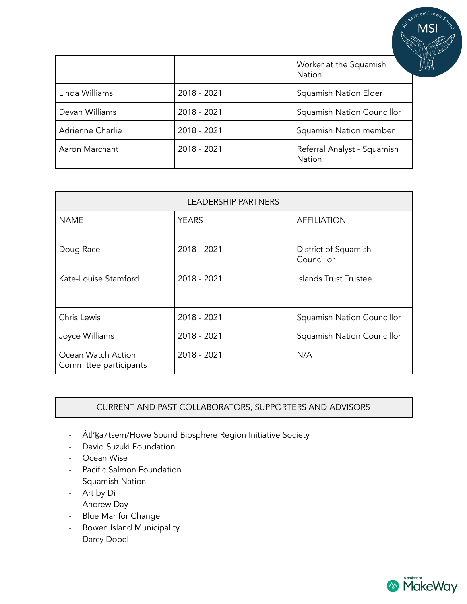|                  |             | Worker at the Squamish<br>Nation      |
|------------------|-------------|---------------------------------------|
| Linda Williams   | 2018 - 2021 | Squamish Nation Elder                 |
| Devan Williams   | 2018 - 2021 | Squamish Nation Councillor            |
| Adrienne Charlie | 2018 - 2021 | Squamish Nation member                |
| Aaron Marchant   | 2018 - 2021 | Referral Analyst - Squamish<br>Nation |

| <b>LEADERSHIP PARTNERS</b>                   |              |                                    |
|----------------------------------------------|--------------|------------------------------------|
| <b>NAME</b>                                  | <b>YEARS</b> | <b>AFFILIATION</b>                 |
| Doug Race                                    | 2018 - 2021  | District of Squamish<br>Councillor |
| Kate-Louise Stamford                         | 2018 - 2021  | Islands Trust Trustee              |
| Chris Lewis                                  | 2018 - 2021  | Squamish Nation Councillor         |
| Joyce Williams                               | 2018 - 2021  | Squamish Nation Councillor         |
| Ocean Watch Action<br>Committee participants | 2018 - 2021  | N/A                                |

## CURRENT AND PAST COLLABORATORS, SUPPORTERS AND ADVISORS

- Átl'ka7tsem/Howe Sound Biosphere Region Initiative Society
- David Suzuki Foundation
- Ocean Wise
- Pacific Salmon Foundation
- Squamish Nation
- Art by Di
- Andrew Day
- Blue Mar for Change
- Bowen Island Municipality
- Darcy Dobell



MSI